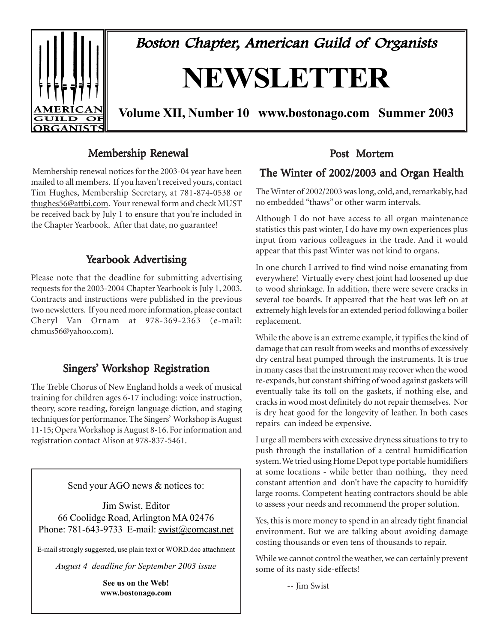

Boston Chapter, American Guild of Organists

# **NEWSLETTER**

**Volume XII, Number 10 www.bostonago.com Summer 2003**

# Membership Renewal

 Membership renewal notices for the 2003-04 year have been mailed to all members. If you haven't received yours, contact Tim Hughes, Membership Secretary, at 781-874-0538 or thughes56@attbi.com. Your renewal form and check MUST be received back by July 1 to ensure that you're included in the Chapter Yearbook. After that date, no guarantee!

# Yearbook Advertising

Please note that the deadline for submitting advertising requests for the 2003-2004 Chapter Yearbook is July 1, 2003. Contracts and instructions were published in the previous two newsletters. If you need more information, please contact Cheryl Van Ornam at 978-369-2363 (e-mail: chmus56@yahoo.com).

# Singers' Workshop Registration

The Treble Chorus of New England holds a week of musical training for children ages 6-17 including: voice instruction, theory, score reading, foreign language diction, and staging techniques for performance. The Singers' Workshop is August 11-15; Opera Workshop is August 8-16. For information and registration contact Alison at 978-837-5461.

Send your AGO news & notices to:

Jim Swist, Editor 66 Coolidge Road, Arlington MA 02476 Phone: 781-643-9733 E-mail: swist@comcast.net

E-mail strongly suggested, use plain text or WORD.doc attachment

*August 4 deadline for September 2003 issue*

**See us on the Web! www.bostonago.com**

# Post Mortem

# The Winter of 2002/2003 and Organ Health

The Winter of 2002/2003 was long, cold, and, remarkably, had no embedded "thaws" or other warm intervals.

Although I do not have access to all organ maintenance statistics this past winter, I do have my own experiences plus input from various colleagues in the trade. And it would appear that this past Winter was not kind to organs.

In one church I arrived to find wind noise emanating from everywhere! Virtually every chest joint had loosened up due to wood shrinkage. In addition, there were severe cracks in several toe boards. It appeared that the heat was left on at extremely high levels for an extended period following a boiler replacement.

While the above is an extreme example, it typifies the kind of damage that can result from weeks and months of excessively dry central heat pumped through the instruments. It is true in many cases that the instrument may recover when the wood re-expands, but constant shifting of wood against gaskets will eventually take its toll on the gaskets, if nothing else, and cracks in wood most definitely do not repair themselves. Nor is dry heat good for the longevity of leather. In both cases repairs can indeed be expensive.

I urge all members with excessive dryness situations to try to push through the installation of a central humidification system. We tried using Home Depot type portable humidifiers at some locations - while better than nothing, they need constant attention and don't have the capacity to humidify large rooms. Competent heating contractors should be able to assess your needs and recommend the proper solution.

Yes, this is more money to spend in an already tight financial environment. But we are talking about avoiding damage costing thousands or even tens of thousands to repair.

While we cannot control the weather, we can certainly prevent some of its nasty side-effects!

-- Jim Swist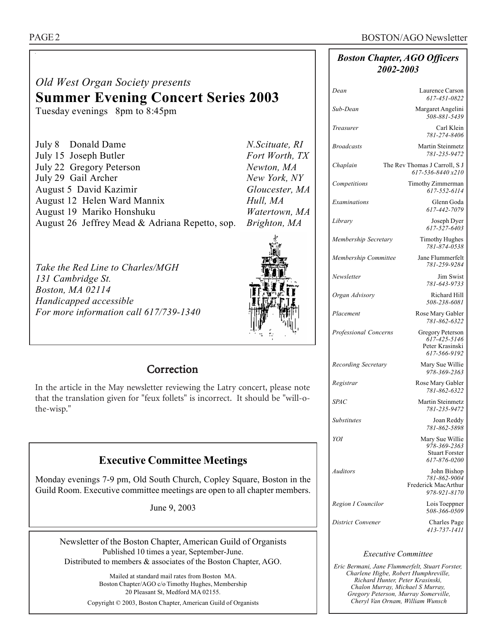#### *Boston Chapter, AGO Officers 2002-2003*

# *Old West Organ Society presents*  **Summer Evening Concert Series 2003**

Tuesday evenings 8pm to 8:45pm

| July 8 Donald Dame                             | N.Scituate, RI |
|------------------------------------------------|----------------|
| July 15 Joseph Butler                          | Fort Worth, TX |
| July 22 Gregory Peterson                       | Newton, MA     |
| July 29 Gail Archer                            | New York, NY   |
| August 5 David Kazimir                         | Gloucester, MA |
| August 12 Helen Ward Mannix                    | Hull, MA       |
| August 19 Mariko Honshuku                      | Watertown, MA  |
| August 26 Jeffrey Mead & Adriana Repetto, sop. | Brighton, MA   |

*Take the Red Line to Charles/MGH 131 Cambridge St. Boston, MA 02114 Handicapped accessible For more information call 617/739-1340* 



# **Correction**

In the article in the May newsletter reviewing the Latry concert, please note that the translation given for "feux follets" is incorrect. It should be "will-othe-wisp."

# **Executive Committee Meetings**

Monday evenings 7-9 pm, Old South Church, Copley Square, Boston in the Guild Room. Executive committee meetings are open to all chapter members.

June 9, 2003

Newsletter of the Boston Chapter, American Guild of Organists Published 10 times a year, September-June. Distributed to members & associates of the Boston Chapter, AGO.

> Mailed at standard mail rates from Boston MA. Boston Chapter/AGO c/o Timothy Hughes, Membership 20 Pleasant St, Medford MA 02155. Copyright © 2003, Boston Chapter, American Guild of Organists

| Dean                       | Laurence Carson<br>617-451-0822                                          |
|----------------------------|--------------------------------------------------------------------------|
| Sub-Dean                   | Margaret Angelini<br>508-881-5439                                        |
| Treasurer                  | Carl Klein<br>781-274-8406                                               |
| <b>Broadcasts</b>          | Martin Steinmetz<br>781-235-9472                                         |
| Chaplain                   | The Rev Thomas J Carroll, S J<br>617-536-8440 x210                       |
| Competitions               | Timothy Zimmerman<br>617-552-6114                                        |
| Examinations               | Glenn Goda<br>617-442-7079                                               |
| Library                    | Joseph Dyer<br>617-527-6403                                              |
| Membership Secretary       | <b>Timothy Hughes</b><br>781-874-0538                                    |
| Membership Committee       | Jane Flummerfelt<br>781-259-9284                                         |
| Newsletter                 | Jim Swist<br>781-643-9733                                                |
| Organ Advisory             | Richard Hill<br>508-238-6081                                             |
| Placement                  | Rose Mary Gabler<br>781-862-6322                                         |
| Professional Concerns      | Gregory Peterson<br>617-425-5146<br>Peter Krasinski<br>617-566-9192      |
| <b>Recording Secretary</b> | Mary Sue Willie<br>978-369-2363                                          |
| Registrar                  | Rose Mary Gabler<br>781-862-6322                                         |
| <b>SPAC</b>                | Martin Steinmetz<br>781-235-9472                                         |
| <b>Substitutes</b>         | Joan Reddy<br>781-862-5898                                               |
| YOI                        | Mary Sue Willie<br>978-369-2363<br><b>Stuart Forster</b><br>617-876-0200 |
| Auditors                   | John Bishop<br>781-862-9004<br>Frederick MacArthur<br>978-921-8170       |
| Region I Councilor         | Lois Toeppner                                                            |

*District Convener* Charles Page

5*08-366-0509 413-737-1411*

# *Executive Committee*

*Eric Bermani, Jane Flummerfelt, Stuart Forster, Charlene Higbe, Robert Humphreville, Richard Hunter, Peter Krasinski, Chalon Murray, Michael S Murray, Gregory Peterson, Murray Somerville, Cheryl Van Ornam, William Wunsch*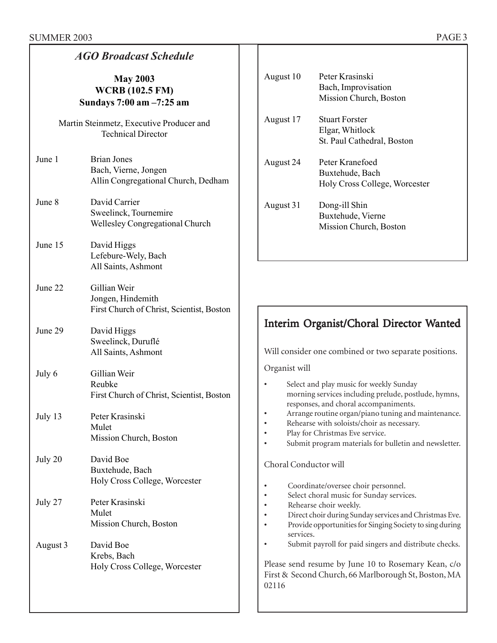| <b>AGO Broadcast Schedule</b>                                         |                                                                                   |  |  |  |
|-----------------------------------------------------------------------|-----------------------------------------------------------------------------------|--|--|--|
| <b>May 2003</b><br><b>WCRB</b> (102.5 FM)<br>Sundays 7:00 am -7:25 am |                                                                                   |  |  |  |
|                                                                       | Martin Steinmetz, Executive Producer and<br><b>Technical Director</b>             |  |  |  |
| June 1                                                                | <b>Brian Jones</b><br>Bach, Vierne, Jongen<br>Allin Congregational Church, Dedham |  |  |  |
| June 8                                                                | David Carrier<br>Sweelinck, Tournemire<br>Wellesley Congregational Church         |  |  |  |
| June 15                                                               | David Higgs<br>Lefebure-Wely, Bach<br>All Saints, Ashmont                         |  |  |  |
| June 22                                                               | Gillian Weir<br>Jongen, Hindemith<br>First Church of Christ, Scientist, Boston    |  |  |  |
| June 29                                                               | David Higgs<br>Sweelinck, Duruflé<br>All Saints, Ashmont                          |  |  |  |
| July 6                                                                | Gillian Weir<br>Reubke<br>First Church of Christ, Scientist, Boston               |  |  |  |
| July 13                                                               | Peter Krasinski<br>Mulet<br>Mission Church, Boston                                |  |  |  |
| July 20                                                               | David Boe<br>Buxtehude, Bach<br>Holy Cross College, Worcester                     |  |  |  |
| July 27                                                               | Peter Krasinski<br>Mulet<br>Mission Church, Boston                                |  |  |  |
| August 3                                                              | David Boe<br>Krebs, Bach<br>Holy Cross College, Worcester                         |  |  |  |

| August 10 | Peter Krasinski<br>Bach, Improvisation<br>Mission Church, Boston       |
|-----------|------------------------------------------------------------------------|
| August 17 | <b>Stuart Forster</b><br>Elgar, Whitlock<br>St. Paul Cathedral, Boston |
| August 24 | Peter Kranefoed<br>Buxtehude, Bach<br>Holy Cross College, Worcester    |
| August 31 | Dong-ill Shin<br>Buxtehude, Vierne<br>Mission Church, Boston           |

# Interim Organist/Choral Director Wanted

Will consider one combined or two separate positions.

Organist will

| Select and play music for weekly Sunday              |
|------------------------------------------------------|
| morning services including prelude, postlude, hymns, |
| responses, and choral accompaniments.                |

- Arrange routine organ/piano tuning and maintenance.
- Rehearse with soloists/choir as necessary.
- Play for Christmas Eve service.
- Submit program materials for bulletin and newsletter.

#### Choral Conductor will

- Coordinate/oversee choir personnel.
- Select choral music for Sunday services.
- Rehearse choir weekly.
- Direct choir during Sunday services and Christmas Eve.<br>• Provide opportunities for Singing Society to sing during • Provide opportunities for Singing Society to sing during
- services.
- Submit payroll for paid singers and distribute checks.

Please send resume by June 10 to Rosemary Kean, c/o First & Second Church, 66 Marlborough St, Boston, MA 02116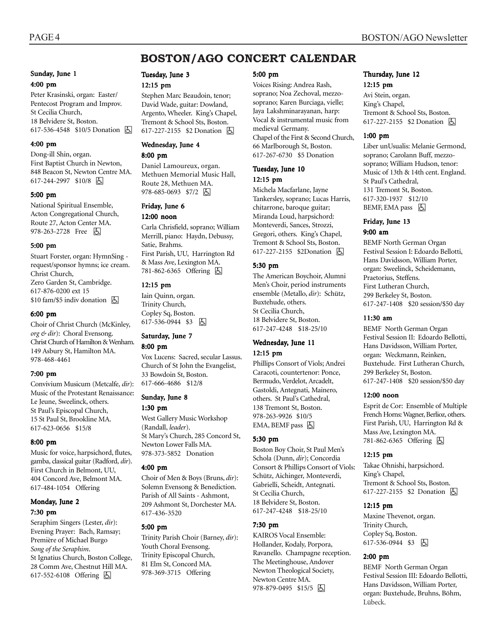# **BOSTON/AGO CONCERT CALENDAR**

#### Sunday, June 1

#### 4:00 pm

Peter Krasinski, organ: Easter/ Pentecost Program and Improv. St Cecilia Church, 18 Belvidere St, Boston. 617-536-4548 \$10/5 Donation **b** 

#### 4:00 pm

Dong-ill Shin, organ. First Baptist Church in Newton, 848 Beacon St, Newton Centre MA. 617-244-2997 \$10/8 6

#### 5:00 pm

National Spiritual Ensemble, Acton Congregational Church, Route 27, Acton Center MA. 978-263-2728 Free 因

#### 5:00 pm

Stuart Forster, organ: HymnSing request/sponsor hymns; ice cream. Christ Church, Zero Garden St, Cambridge. 617-876-0200 ext 15  $$10$  fam/\$5 indiv donation  $\Box$ 

#### 6:00 pm

Choir of Christ Church (McKinley, *org & dir*): Choral Evensong. Christ Church of Hamilton & Wenham. 149 Asbury St, Hamilton MA. 978-468-4461

#### 7:00 pm

Convivium Musicum (Metcalfe, *dir*): Music of the Protestant Renaissance: Le Jeune, Sweelinck, others. St Paul's Episcopal Church, 15 St Paul St, Brookline MA. 617-623-0656 \$15/8

#### 8:00 pm

Music for voice, harpsichord, flutes, gamba, classical guitar (Radford, *dir*). First Church in Belmont, UU, 404 Concord Ave, Belmont MA. 617-484-1054 Offering

#### Monday, June 2 7:30 pm

Seraphim Singers (Lester, *dir*): Evening Prayer: Bach, Ramsay; Première of Michael Burgo *Song of the Seraphim*. St Ignatius Church, Boston College, 28 Comm Ave, Chestnut Hill MA. 617-552-6108 Offering  $\boxed{6}$ 

Tuesday, June 3 12:15 pm

Stephen Marc Beaudoin, tenor; David Wade, guitar: Dowland, Argento, Wheeler. King's Chapel, Tremont & School Sts, Boston. 617-227-2155 \$2 Donation **b** 

#### Wednesday, June 4

#### 8:00 pm

Daniel Lamoureux, organ. Methuen Memorial Music Hall, Route 28, Methuen MA. 978-685-0693 \$7/2  $\boxed{6}$ 

#### Friday, June 6

12:00 noon

Carla Chrisfield, soprano; William Merrill, piano: Haydn, Debussy, Satie, Brahms. First Parish, UU, Harrington Rd & Mass Ave, Lexington MA. 781-862-6365 Offering h

#### 12:15 pm

Iain Quinn, organ. Trinity Church, Copley Sq, Boston. 617-536-0944 \$3 6

#### Saturday, June 7 8:00 pm

Vox Lucens: Sacred, secular Lassus. Church of St John the Evangelist, 33 Bowdoin St, Boston. 617-666-4686 \$12/8

#### Sunday, June 8

#### 1:30 pm

West Gallery Music Workshop (Randall, *leader*). St Mary's Church, 285 Concord St, Newton Lower Falls MA. 978-373-5852 Donation

#### 4:00 pm

Choir of Men & Boys (Bruns, *dir*): Solemn Evensong & Benediction. Parish of All Saints - Ashmont, 209 Ashmont St, Dorchester MA. 617-436-3520

#### 5:00 pm

Trinity Parish Choir (Barney, *dir*): Youth Choral Evensong. Trinity Episcopal Church, 81 Elm St, Concord MA. 978-369-3715 Offering

#### 5:00 pm

Voices Rising: Andrea Rash, soprano; Noa Zechoval, mezzosoprano; Karen Burciaga, vielle; Jaya Lakshminarayanan, harp: Vocal & instrumental music from medieval Germany. Chapel of the First & Second Church, 66 Marlborough St, Boston. 617-267-6730 \$5 Donation

#### Tuesday, June 10 12:15 pm

Michela Macfarlane, Jayne Tankersley, soprano; Lucas Harris, chitarrone, baroque guitar; Miranda Loud, harpsichord: Monteverdi, Sances, Strozzi, Gregori, others. King's Chapel, Tremont & School Sts, Boston. 617-227-2155 \$2Donation <a>

#### 5:30 pm

The American Boychoir, Alumni Men's Choir, period instruments ensemble (Metallo, *dir*): Schütz, Buxtehude, others. St Cecilia Church, 18 Belvidere St, Boston. 617-247-4248 \$18-25/10

# Wednesday, June 11

#### 12:15 pm

Phillips Consort of Viols; Andrei Caracoti, countertenor: Ponce, Bermudo, Verdelot, Arcadelt, Gastoldi, Antegnati, Mainero, others. St Paul's Cathedral, 138 Tremont St, Boston. 978-263-9926 \$10/5  $EMA, BEMF$  pass  $\boxed{6}$ 

#### 5:30 pm

Boston Boy Choir, St Paul Men's Schola (Dunn, *dir*); Concordia Consort & Phillips Consort of Viols: Schütz, Aichinger, Monteverdi, Gabrielli, Scheidt, Antegnati. St Cecilia Church, 18 Belvidere St, Boston. 617-247-4248 \$18-25/10

#### 7:30 pm

KAIROS Vocal Ensemble: Hollander, Kodaly, Porpora, Ravanello. Champagne reception. The Meetinghouse, Andover Newton Theological Society, Newton Centre MA. 978-879-0495 \$15/5 因

#### Thursday, June 12 12:15 pm

Avi Stein, organ. King's Chapel, Tremont & School Sts, Boston. 617-227-2155 \$2 Donation **b** 

#### 1:00 pm

Liber unUsualis: Melanie Germond, soprano; Carolann Buff, mezzosoprano; William Hudson, tenor: Music of 13th & 14th cent. England. St Paul's Cathedral, 131 Tremont St, Boston. 617-320-1937 \$12/10  $BEMF$ , EMA pass  $\Box$ 

### Friday, June 13

#### 9:00 am

BEMF North German Organ Festival Session I: Edoardo Bellotti, Hans Davidsson, William Porter, organ: Sweelinck, Scheidemann, Praetorius, Steffens. First Lutheran Church, 299 Berkeley St, Boston. 617-247-1408 \$20 session/\$50 day

#### 11:30 am

BEMF North German Organ Festival Session II: Edoardo Bellotti, Hans Davidsson, William Porter, organ: Weckmann, Reinken, Buxtehude. First Lutheran Church, 299 Berkeley St, Boston. 617-247-1408 \$20 session/\$50 day

#### 12:00 noon

Esprit de Cor: Ensemble of Multiple French Horns: Wagner, Berlioz, others. First Parish, UU, Harrington Rd & Mass Ave, Lexington MA. 781-862-6365 Offering h

#### 12:15 pm

Takae Ohnishi, harpsichord. King's Chapel, Tremont & School Sts, Boston. 617-227-2155 \$2 Donation **b** 

#### 12:15 pm

Maxine Thevenot, organ. Trinity Church, Copley Sq, Boston. 617-536-0944 \$3 | 4

#### 2:00 pm

BEMF North German Organ Festival Session III: Edoardo Bellotti, Hans Davidsson, William Porter, organ: Buxtehude, Bruhns, Böhm, Lübeck.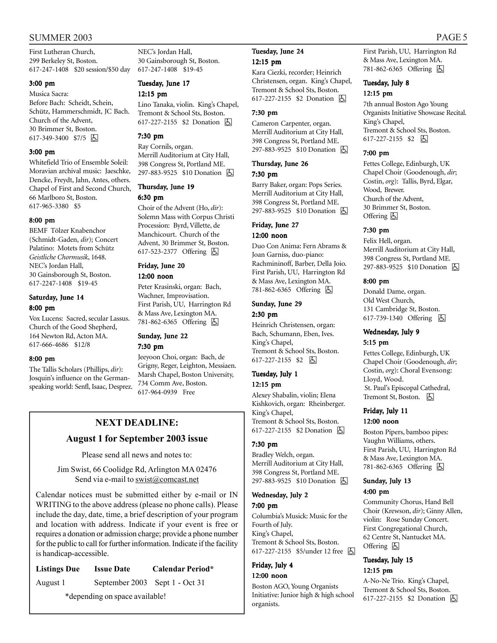#### SUMMER 2003 PAGE 5

First Lutheran Church, 299 Berkeley St, Boston. 617-247-1408 \$20 session/\$50 day

#### 3:00 pm

Musica Sacra: Before Bach: Scheidt, Schein, Schütz, Hammerschmidt, JC Bach. Church of the Advent, 30 Brimmer St, Boston. 617-349-3400 \$7/5 &

#### 3:00 pm

Whitefield Trio of Ensemble Soleil: Moravian archival music: Jaeschke, Dencke, Freydt, Jahn, Antes, others. Chapel of First and Second Church, 66 Marlboro St, Boston. 617-965-3380 \$5

#### 8:00 pm

BEMF Tölzer Knabenchor (Schmidt-Gaden, *dir*); Concert Palatino: Motets from Schütz *Geistliche Chormusik*, 1648. NEC's Jordan Hall, 30 Gainsborough St, Boston. 617-2247-1408 \$19-45

#### Saturday, June 14 8:00 pm

Vox Lucens: Sacred, secular Lassus. Church of the Good Shepherd, 164 Newton Rd, Acton MA. 617-666-4686 \$12/8

#### 8:00 pm

The Tallis Scholars (Phillips, *dir*): Josquin's influence on the Germanspeaking world: Senfl, Isaac, Desprez.

NEC's Jordan Hall, 30 Gainsborough St, Boston. 617-247-1408 \$19-45

# Tuesday, June 17

#### 12:15 pm

Lino Tanaka, violin. King's Chapel, Tremont & School Sts, Boston. 617-227-2155 \$2 Donation 因

#### 7:30 pm

Ray Cornils, organ. Merrill Auditorium at City Hall, 398 Congress St, Portland ME. 297-883-9525 \$10 Donation <a>

# Thursday, June 19

#### 6:30 pm

Choir of the Advent (Ho, *dir*): Solemn Mass with Corpus Christi Procession: Byrd, Villette, de Manchicourt. Church of the Advent, 30 Brimmer St, Boston. 617-523-2377 Offering **A** 

#### Friday, June 20

#### 12:00 noon

Peter Krasinski, organ: Bach, Wachner, Improvisation. First Parish, UU, Harrington Rd & Mass Ave, Lexington MA. 781-862-6365 Offering  $\boxed{6}$ 

#### Sunday, June 22 7:30 pm

Jeeyoon Choi, organ: Bach, de Grigny, Reger, Leighton, Messiaen. Marsh Chapel, Boston University, 734 Comm Ave, Boston. 617-964-0939 Free

# **NEXT DEADLINE:**

#### **August 1 for September 2003 issue**

Please send all news and notes to:

Jim Swist, 66 Coolidge Rd, Arlington MA 02476 Send via e-mail to swist@comcast.net

Calendar notices must be submitted either by e-mail or IN WRITING to the above address (please no phone calls). Please include the day, date, time, a brief description of your program and location with address. Indicate if your event is free or requires a donation or admission charge; provide a phone number for the public to call for further information. Indicate if the facility is handicap-accessible.

### **Listings Due Issue Date Calendar Period\*** August 1 September 2003 Sept 1 - Oct 31

\*depending on space available!

#### Tuesday, June 24 12:15 pm

Kara Ciezki, recorder; Heinrich Christensen, organ. King's Chapel, Tremont & School Sts, Boston. 617-227-2155 \$2 Donation h

#### 7:30 pm

Cameron Carpenter, organ. Merrill Auditorium at City Hall, 398 Congress St, Portland ME. 297-883-9525 \$10 Donation **b** 

#### Thursday, June 26 7:30 pm

Barry Baker, organ: Pops Series. Merrill Auditorium at City Hall, 398 Congress St, Portland ME. 297-883-9525 \$10 Donation **b** 

# Friday, June 27

#### 12:00 noon

Duo Con Anima: Fern Abrams & Joan Garniss, duo-piano: Rachmininoff, Barber, Della Joio. First Parish, UU, Harrington Rd & Mass Ave, Lexington MA. 781-862-6365 Offering h

#### Sunday, June 29 2:30 pm

Heinrich Christensen, organ: Bach, Schumann, Eben, Ives. King's Chapel, Tremont & School Sts, Boston. 617-227-2155 \$2 | 4

#### Tuesday, July 1

#### 12:15 pm

Alexey Shabalin, violin; Elena Kishkovich, organ: Rheinberger. King's Chapel, Tremont & School Sts, Boston. 617-227-2155 \$2 Donation 因

#### 7:30 pm

Bradley Welch, organ. Merrill Auditorium at City Hall, 398 Congress St, Portland ME. 297-883-9525 \$10 Donation **b** 

#### Wednesday, July 2 7:00 pm

Columbia's Musick: Music for the Fourth of July. King's Chapel, Tremont & School Sts, Boston. 617-227-2155 \$5/under 12 free h

#### Friday, July 4 12:00 noon

Boston AGO, Young Organists Initiative: Junior high & high school organists.

First Parish, UU, Harrington Rd & Mass Ave, Lexington MA. 781-862-6365 Offering **b** 

#### Tuesday, July 8

#### 12:15 pm

7th annual Boston Ago Young Organists Initiative Showcase Recital. King's Chapel, Tremont & School Sts, Boston. 617-227-2155 \$2 | 4

#### 7:00 pm

Fettes College, Edinburgh, UK Chapel Choir (Goodenough, *dir*; Costin, *org*): Tallis, Byrd, Elgar, Wood, Brewer. Church of the Advent, 30 Brimmer St, Boston. Offering  $\boxed{6}$ 

#### 7:30 pm

Felix Hell, organ. Merrill Auditorium at City Hall, 398 Congress St, Portland ME. 297-883-9525 \$10 Donation **b** 

#### 8:00 pm

Donald Dame, organ. Old West Church, 131 Cambridge St, Boston. 617-739-1340 Offering h

#### Wednesday, July 9

#### 5:15 pm

Fettes College, Edinburgh, UK Chapel Choir (Goodenough, *dir*; Costin, *org*): Choral Evensong: Lloyd, Wood. St. Paul's Episcopal Cathedral, Tremont St, Boston. **固** 

#### Friday, July 11 12:00 noon

Boston Pipers, bamboo pipes: Vaughn Williams, others. First Parish, UU, Harrington Rd & Mass Ave, Lexington MA. 781-862-6365 Offering **b** 

#### Sunday, July 13 4:00 pm

Community Chorus, Hand Bell Choir (Krewson, *dir*); Ginny Allen, violin: Rose Sunday Concert. First Congregational Church, 62 Centre St, Nantucket MA. Offering  $\boxtimes$ 

#### Tuesday, July 15 12:15 pm

A-No-Ne Trio. King's Chapel, Tremont & School Sts, Boston. 617-227-2155 \$2 Donation <a>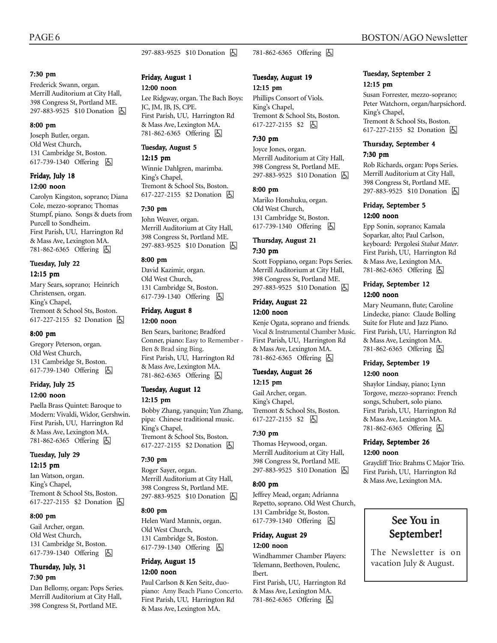#### 297-883-9525 \$10 Donation <a>

#### 7:30 pm

Frederick Swann, organ. Merrill Auditorium at City Hall, 398 Congress St, Portland ME. 297-883-9525 \$10 Donation **b** 

#### 8:00 pm

Joseph Butler, organ. Old West Church, 131 Cambridge St, Boston. 617-739-1340 Offering **囚** 

#### Friday, July 18 12:00 noon

Carolyn Kingston, soprano; Diana Cole, mezzo-soprano; Thomas Stumpf, piano. Songs & duets from Purcell to Sondheim. First Parish, UU, Harrington Rd & Mass Ave, Lexington MA. 781-862-6365 Offering h

#### Tuesday, July 22 12:15 pm

Mary Sears, soprano; Heinrich Christensen, organ. King's Chapel, Tremont & School Sts, Boston. 617-227-2155 \$2 Donation **b** 

#### 8:00 pm

Gregory Peterson, organ. Old West Church, 131 Cambridge St, Boston. 617-739-1340 Offering **b** 

#### Friday, July 25 12:00 noon

Paella Brass Quintet: Baroque to Modern: Vivaldi, Widor, Gershwin. First Parish, UU, Harrington Rd & Mass Ave, Lexington MA. 781-862-6365 Offering **b** 

# Tuesday, July 29

#### 12:15 pm

Ian Watson, organ. King's Chapel, Tremont & School Sts, Boston. 617-227-2155 \$2 Donation h

#### 8:00 pm

Gail Archer, organ. Old West Church, 131 Cambridge St, Boston. 617-739-1340 Offering **A** 

#### Thursday, July, 31 7:30 pm

Dan Bellomy, organ: Pops Series. Merrill Auditorium at City Hall, 398 Congress St, Portland ME.

#### Friday, August 1

#### 12:00 noon

Lee Ridgway, organ. The Bach Boys: JC, JM, JB, JS, CPE. First Parish, UU, Harrington Rd & Mass Ave, Lexington MA. 781-862-6365 Offering  $\boxed{6}$ 

#### Tuesday, August 5

#### 12:15 pm

Winnie Dahlgren, marimba. King's Chapel, Tremont & School Sts, Boston. 617-227-2155 \$2 Donation **b** 

#### 7:30 pm

John Weaver, organ. Merrill Auditorium at City Hall, 398 Congress St, Portland ME. 297-883-9525 \$10 Donation **b** 

#### 8:00 pm

David Kazimir, organ. Old West Church, 131 Cambridge St, Boston. 617-739-1340 Offering **A** 

#### Friday, August 8

#### 12:00 noon

Ben Sears, baritone; Bradford Conner, piano: Easy to Remember - Ben & Brad sing Bing. First Parish, UU, Harrington Rd & Mass Ave, Lexington MA. 781-862-6365 Offering **b** 

#### Tuesday, August 12 12:15 pm

Bobby Zhang, yanquin; Yun Zhang, pipa: Chinese traditional music. King's Chapel, Tremont & School Sts, Boston. 617-227-2155 \$2 Donation  $\boxed{6}$ 

#### 7:30 pm

Roger Sayer, organ. Merrill Auditorium at City Hall, 398 Congress St, Portland ME. 297-883-9525 \$10 Donation **b** 

#### 8:00 pm

Helen Ward Mannix, organ. Old West Church, 131 Cambridge St, Boston. 617-739-1340 Offering h

#### Friday, August 15

#### 12:00 noon

Paul Carlson & Ken Seitz, duopiano: Amy Beach Piano Concerto. First Parish, UU, Harrington Rd & Mass Ave, Lexington MA.

#### Tuesday, August 19 12:15 pm

781-862-6365 Offering h

Phillips Consort of Viols. King's Chapel, Tremont & School Sts, Boston. 617-227-2155 \$2 | 5

#### 7:30 pm

Joyce Jones, organ. Merrill Auditorium at City Hall, 398 Congress St, Portland ME. 297-883-9525 \$10 Donation **b** 

#### 8:00 pm

Mariko Honshuku, organ. Old West Church, 131 Cambridge St, Boston. 617-739-1340 Offering h

#### Thursday, August 21 7:30 pm

Scott Foppiano, organ: Pops Series. Merrill Auditorium at City Hall, 398 Congress St, Portland ME. 297-883-9525 \$10 Donation **b** 

#### Friday, August 22 12:00 noon

Kenje Ogata, soprano and friends. Vocal & Instrumental Chamber Music. First Parish, UU, Harrington Rd & Mass Ave, Lexington MA. 781-862-6365 Offering h

#### Tuesday, August 26 12:15 pm

Gail Archer, organ. King's Chapel, Tremont & School Sts, Boston. 617-227-2155 \$2 | 6

#### 7:30 pm

Thomas Heywood, organ. Merrill Auditorium at City Hall, 398 Congress St, Portland ME. 297-883-9525 \$10 Donation **b** 

#### 8:00 pm

Jeffrey Mead, organ; Adrianna Repetto, soprano. Old West Church, 131 Cambridge St, Boston. 617-739-1340 Offering **b** 

#### Friday, August 29

#### 12:00 noon

Windhammer Chamber Players: Telemann, Beethoven, Poulenc, Ibert.

First Parish, UU, Harrington Rd & Mass Ave, Lexington MA. 781-862-6365 Offering **b** 

#### Tuesday, September 2 12:15 pm

Susan Forrester, mezzo-soprano; Peter Watchorn, organ/harpsichord. King's Chapel, Tremont & School Sts, Boston. 617-227-2155 \$2 Donation **b** 

#### Thursday, September 4

#### 7:30 pm

Rob Richards, organ: Pops Series. Merrill Auditorium at City Hall, 398 Congress St, Portland ME. 297-883-9525 \$10 Donation **A** 

# Friday, September 5

#### 12:00 noon

Epp Sonin, soprano; Kamala Soparkar, alto; Paul Carlson, keyboard: Pergolesi *Stabat Mater.* First Parish, UU, Harrington Rd & Mass Ave, Lexington MA. 781-862-6365 Offering **b** 

#### Friday, September 12 12:00 noon

Mary Neumann, flute; Caroline Lindecke, piano: Claude Bolling Suite for Flute and Jazz Piano. First Parish, UU, Harrington Rd & Mass Ave, Lexington MA. 781-862-6365 Offering **b** 

#### Friday, September 19 12:00 noon

Shaylor Lindsay, piano; Lynn Torgove, mezzo-soprano: French songs, Schubert, solo piano. First Parish, UU, Harrington Rd & Mass Ave, Lexington MA. 781-862-6365 Offering **b** 

#### Friday, September 26 12:00 noon

Graycliff Trio: Brahms C Major Trio. First Parish, UU, Harrington Rd & Mass Ave, Lexington MA.

# See You in September!

The Newsletter is on vacation July & August.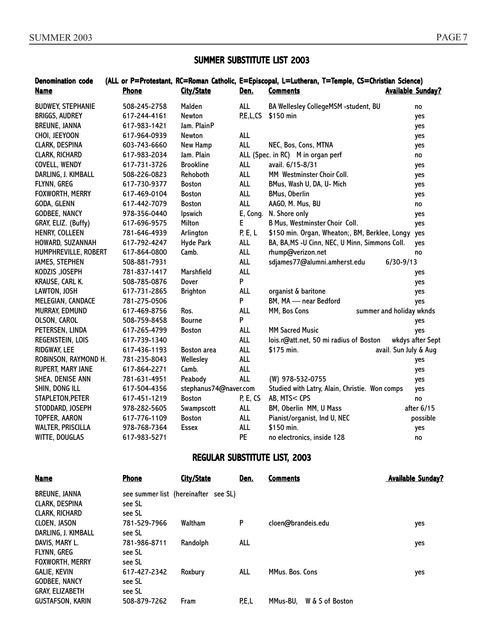#### SUMMER SUBSTITUTE LIST 2003

#### Denomination code (ALL or P=Protestant, RC=Roman Catholic, E=Episcopal, L=Lutheran, T=Temple, CS=Christian Science) Name **Phone** City/State Den. Comments **Available Sunday?** BUDWEY, STEPHANIE 508-245-2758 Malden ALL BA Wellesley CollegeMSM -student, BU no BRIGGS, AUDREY 617-244-4161 Newton P,E,L,CS \$150 min 30 min yes BREUNE, JANNA 617-983-1421 Jam. PlainP yes CHOI, JEEYOON 617-964-0939 Newton ALL yes CLARK, DESPINA 603-743-6660 New Hamp ALL NEC, Bos, Cons, MTNA yes CLARK, RICHARD 617-983-2034 Jam. Plain ALL (Spec. in RC) M in organ perf no no COVELL, WENDY 617-731-3726 Brookline ALL avail. 6/15-8/31 yes DARLING, J. KIMBALL 508-226-0823 Rehoboth ALL MM Westminster Choir Coll. yes FLYNN, GREG 617-730-9377 Boston ALL BMus, Wash U, DA, U- Mich yes FOXWORTH, MERRY 617-469-0104 Boston ALL BMus, Oberlin yes GODA, GLENN 617-442-7079 Boston ALL AAGO, M. Mus, BU no GODBEE, NANCY 978-356-0440 Ipswich E, Cong. N. Shore only yes GRAY, ELIZ. (Buffy) 617-696-9575 Milton E B Mus, Westminster Choir Coll. yes HENRY, COLLEEN 781-646-4939 Arlington P, E, L \$150 min. Organ, Wheaton;, BM, Berklee, Longy yes HOWARD, SUZANNAH 617-792-4247 Hyde Park ALL BA, BA,MS -U Cinn, NEC, U Minn, Simmons Coll. yes HUMPHREVILLE, ROBERT 617-864-0800 Camb. ALL rhump@verizon.net no JAMES, STEPHEN 508-881-7931 ALL sdjames77@alumni.amherst.edu 6/30-9/13 KODZIS ,JOSEPH 781-837-1417 Marshfield ALL yes KRAUSE, CARL K. 508-785-0876 Dover P yes LAWTON, JOSH 617-731-2865 Brighton ALL organist & baritone yes MELEGIAN, CANDACE 781-275-0506 P BM, MA — near Bedford yes MURRAY, EDMUND 617-469-8756 Ros. ALL MM, Bos Cons summer and holiday wknds OLSON, CAROL 508-759-8458 Bourne P yes PETERSEN, LINDA 617-265-4799 Boston ALL MM Sacred Music yes REGENSTEIN, LOIS 617-739-1340 ALL lois.r@att.net, 50 mi radius of Boston wkdys after Sept RIDGWAY, LEE 617-436-1193 Boston area ALL \$175 min. avail. Sun July & Aug ROBINSON, RAYMOND H. 781-235-8043 Wellesley ALL yes RUPERT, MARY JANE 617-864-2271 Camb. ALL yes SHEA, DENISE ANN 781-631-4951 Peabody ALL (W) 978-532-0755 yes SHIN, DONG ILL 617-504-4356 stephanus74@naver.com Studied with Latry, Alain, Christie. Won comps yes STAPLETON,PETER 617-451-1219 Boston P, E, CS AB, MTS< CPS no STODDARD, JOSEPH 978-282-5605 Swampscott ALL BM, Oberlin MM, U Mass after 6/15 TOPFER, AARON 617-776-1109 Boston ALL Pianist/organist, Ind U, NEC possible WALTER, PRISCILLA 978-768-7364 Essex ALL \$150 min. yes WITTE, DOUGLAS 617-983-5271 **PE** no electronics, inside 128 no

#### REGULAR SUBSTITUTE LIST, 2003

| <b>Name</b>             | <b>Phone</b> | City/State                           | Den.    | <b>Comments</b>             | <b>Available Sunday?</b> |
|-------------------------|--------------|--------------------------------------|---------|-----------------------------|--------------------------|
| <b>BREUNE, JANNA</b>    |              | see summer list (hereinafter see SL) |         |                             |                          |
| <b>CLARK, DESPINA</b>   | see SL       |                                      |         |                             |                          |
| CLARK, RICHARD          | see SL       |                                      |         |                             |                          |
| <b>CLOEN. JASON</b>     | 781-529-7966 | Waltham                              | P       | cloen@brandeis.edu          | yes                      |
| DARLING, J. KIMBALL     | see SL       |                                      |         |                             |                          |
| DAVIS. MARY L.          | 781-986-8711 | Randolph                             | ALL     |                             | yes                      |
| <b>FLYNN, GREG</b>      | see SL       |                                      |         |                             |                          |
| <b>FOXWORTH, MERRY</b>  | see SL       |                                      |         |                             |                          |
| <b>GALIE, KEVIN</b>     | 617-427-2342 | Roxbury                              | ALL     | MMus. Bos. Cons             | yes                      |
| <b>GODBEE, NANCY</b>    | see SL       |                                      |         |                             |                          |
| <b>GRAY, ELIZABETH</b>  | see SL       |                                      |         |                             |                          |
| <b>GUSTAFSON, KARIN</b> | 508-879-7262 | Fram                                 | P, E, L | W & S of Boston<br>MMus-BU. |                          |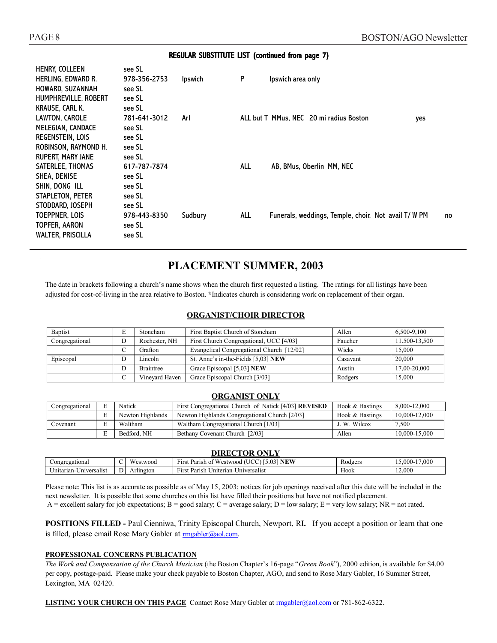#### REGULAR SUBSTITUTE LIST (continued from page 7)

| HENRY, COLLEEN            | see SL       |                |            |                                                            |  |
|---------------------------|--------------|----------------|------------|------------------------------------------------------------|--|
| <b>HERLING, EDWARD R.</b> | 978-356-2753 | <b>Ipswich</b> | P          | Ipswich area only                                          |  |
| HOWARD, SUZANNAH          | see SL       |                |            |                                                            |  |
| HUMPHREVILLE, ROBERT      | see SL       |                |            |                                                            |  |
| KRAUSE. CARL K.           | see SL       |                |            |                                                            |  |
| LAWTON, CAROLE            | 781-641-3012 | Arl            |            | ALL but T MMus, NEC 20 mi radius Boston<br>yes             |  |
| MELEGIAN, CANDACE         | see SL       |                |            |                                                            |  |
| <b>REGENSTEIN, LOIS</b>   | see SL       |                |            |                                                            |  |
| ROBINSON, RAYMOND H.      | see SL       |                |            |                                                            |  |
| <b>RUPERT, MARY JANE</b>  | see SL       |                |            |                                                            |  |
| SATERLEE, THOMAS          | 617-787-7874 |                | <b>ALL</b> | AB, BMus, Oberlin MM, NEC                                  |  |
| SHEA, DENISE              | see SL       |                |            |                                                            |  |
| SHIN, DONG ILL            | see SL       |                |            |                                                            |  |
| STAPLETON, PETER          | see SL       |                |            |                                                            |  |
| STODDARD, JOSEPH          | see SL       |                |            |                                                            |  |
| TOEPPNER, LOIS            | 978-443-8350 | Sudbury        | ALL        | Funerals, weddings, Temple, choir. Not avail T/ W PM<br>no |  |
| TOPFER, AARON             | see SL       |                |            |                                                            |  |
| <b>WALTER, PRISCILLA</b>  | see SL       |                |            |                                                            |  |
|                           |              |                |            |                                                            |  |

# **PLACEMENT SUMMER, 2003**

The date in brackets following a church's name shows when the church first requested a listing. The ratings for all listings have been adjusted for cost-of-living in the area relative to Boston. **\***Indicates church is considering work on replacement of their organ.

#### **ORGANIST/CHOIR DIRECTOR**

| Baptist        | E | Stoneham         | First Baptist Church of Stoneham          | Allen    | 6.500-9.100   |
|----------------|---|------------------|-------------------------------------------|----------|---------------|
| Congregational | D | Rochester, NH    | First Church Congregational, UCC [4/03]   | Faucher  | 11.500-13.500 |
|                | ◡ | Grafton          | Evangelical Congregational Church [12/02] | Wicks    | 15,000        |
| Episcopal      | D | Lincoln          | St. Anne's in-the-Fields [5,03] NEW       | Casavant | 20,000        |
|                | D | <b>Braintree</b> | Grace Episcopal [5,03] NEW                | Austin   | 17.00-20.000  |
|                | ◡ | Vinevard Haven   | Grace Episcopal Church [3/03]             | Rodgers  | 15,000        |

#### **ORGANIST ONLY**

| Congregational | Natick           | First Congregational Church of Natick [4/03] <b>REVISED</b> | Hook & Hastings | 8.000-12.000  |
|----------------|------------------|-------------------------------------------------------------|-----------------|---------------|
|                | Newton Highlands | Newton Highlands Congregational Church [2/03]               | Hook & Hastings | 10,000-12,000 |
| Covenant       | Waltham          | Waltham Congregational Church [1/03]                        | J. W. Wilcox    | 7.500         |
|                | Bedford, NH      | Bethany Covenant Church [2/03]                              | Allen           | 10.000-15.000 |

#### **DIRECTOR ONLY** Congregational C Westwood First Parish of Westwood (UCC) [5.03] **NEW** Rodgers 15,000-17,000 Unitarian-Universalist D Arlington First Parish Uniterian-Universalist Hook 12,000

Please note: This list is as accurate as possible as of May 15, 2003; notices for job openings received after this date will be included in the next newsletter. It is possible that some churches on this list have filled their positions but have not notified placement. A = excellent salary for job expectations; B = good salary; C = average salary; D = low salary; E = very low salary; NR = not rated.

**POSITIONS FILLED - Paul Cienniwa, Trinity Episcopal Church, Newport, RI. If you accept a position or learn that one** is filled, please email Rose Mary Gabler at **rmgabler**@aol.com.

#### **PROFESSIONAL CONCERNS PUBLICATION**

*The Work and Compensation of the Church Musician* (the Boston Chapter's 16-page "*Green Book*"), 2000 edition, is available for \$4.00 per copy, postage-paid. Please make your check payable to Boston Chapter, AGO, and send to Rose Mary Gabler, 16 Summer Street, Lexington, MA 02420.

**LISTING YOUR CHURCH ON THIS PAGE** Contact Rose Mary Gabler at rmgabler@aol.com or 781-862-6322.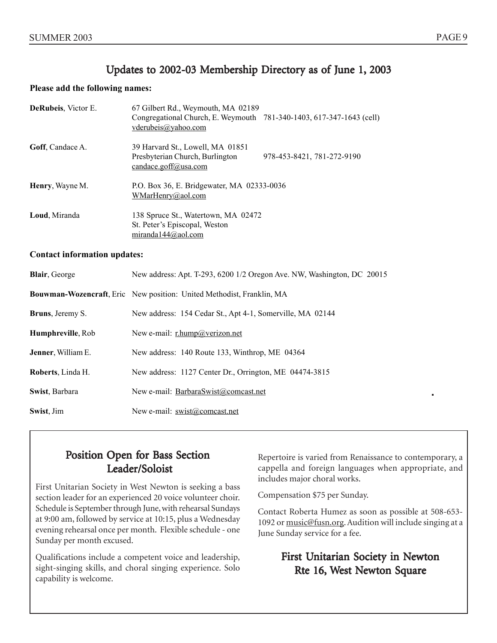# Updates to 2002-03 Membership Directory as of June 1, 2003

#### **Please add the following names:**

| DeRubeis, Victor E.                 | 67 Gilbert Rd., Weymouth, MA 02189<br>Congregational Church, E. Weymouth 781-340-1403, 617-347-1643 (cell)<br>vderubeis@yahoo.com |  |  |
|-------------------------------------|-----------------------------------------------------------------------------------------------------------------------------------|--|--|
| Goff, Candace A.                    | 39 Harvard St., Lowell, MA 01851<br>Presbyterian Church, Burlington<br>978-453-8421, 781-272-9190<br>candace.goff@usa.com         |  |  |
| Henry, Wayne M.                     | P.O. Box 36, E. Bridgewater, MA 02333-0036<br>WMarHenry@aol.com                                                                   |  |  |
| Loud, Miranda                       | 138 Spruce St., Watertown, MA 02472<br>St. Peter's Episcopal, Weston<br>miranda144@aol.com                                        |  |  |
| <b>Contact information updates:</b> |                                                                                                                                   |  |  |
| Blair, George                       | New address: Apt. T-293, 6200 1/2 Oregon Ave. NW, Washington, DC 20015                                                            |  |  |
|                                     | Bouwman-Wozencraft, Eric New position: United Methodist, Franklin, MA                                                             |  |  |
| Bruns, Jeremy S.                    | New address: 154 Cedar St., Apt 4-1, Somerville, MA 02144                                                                         |  |  |
| Humphreville, Rob                   | New e-mail: r.hump@verizon.net                                                                                                    |  |  |
| Jenner, William E.                  | New address: 140 Route 133, Winthrop, ME 04364                                                                                    |  |  |
| Roberts, Linda H.                   | New address: 1127 Center Dr., Orrington, ME 04474-3815                                                                            |  |  |
| Swist, Barbara                      | New e-mail: BarbaraSwist@comcast.net                                                                                              |  |  |
| Swist, Jim                          | New e-mail: swist@comcast.net                                                                                                     |  |  |

# Position Open for Bass Section Leader/Soloist

First Unitarian Society in West Newton is seeking a bass section leader for an experienced 20 voice volunteer choir. Schedule is September through June, with rehearsal Sundays at 9:00 am, followed by service at 10:15, plus a Wednesday evening rehearsal once per month. Flexible schedule - one Sunday per month excused.

Qualifications include a competent voice and leadership, sight-singing skills, and choral singing experience. Solo capability is welcome.

Repertoire is varied from Renaissance to contemporary, a cappella and foreign languages when appropriate, and includes major choral works.

Compensation \$75 per Sunday.

Contact Roberta Humez as soon as possible at 508-653- 1092 or music@fusn.org. Audition will include singing at a June Sunday service for a fee.

# First Unitarian Society in Newton Rte 16, West Newton Square